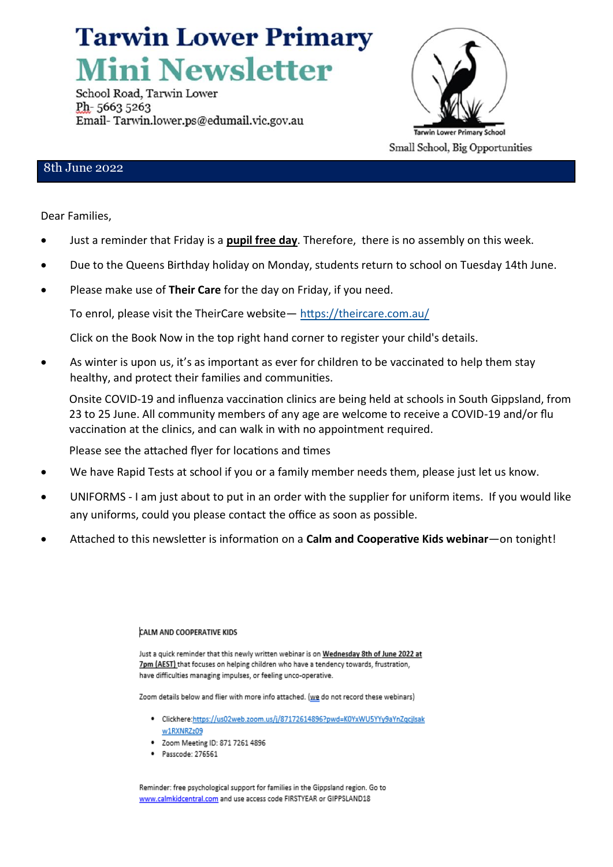# **Tarwin Lower Primary Mini Newsletter**

School Road, Tarwin Lower Ph-56635263 Email-Tarwin.lower.ps@edumail.vic.gov.au



### 8th June 2022

Dear Families,

- Just a reminder that Friday is a **pupil free day**. Therefore, there is no assembly on this week.
- Due to the Queens Birthday holiday on Monday, students return to school on Tuesday 14th June.
- Please make use of **Their Care** for the day on Friday, if you need.

To enrol, please visit the TheirCare website— <https://theircare.com.au/>

Click on the Book Now in the top right hand corner to register your child's details.

• As winter is upon us, it's as important as ever for children to be vaccinated to help them stay healthy, and protect their families and communities.

Onsite COVID-19 and influenza vaccination clinics are being held at schools in South Gippsland, from 23 to 25 June. All community members of any age are welcome to receive a COVID-19 and/or flu vaccination at the clinics, and can walk in with no appointment required.

Please see the attached flyer for locations and times

- We have Rapid Tests at school if you or a family member needs them, please just let us know.
- UNIFORMS I am just about to put in an order with the supplier for uniform items. If you would like any uniforms, could you please contact the office as soon as possible.
- Attached to this newsletter is information on a **Calm and Cooperative Kids webinar**—on tonight!

#### CALM AND COOPERATIVE KIDS

Just a quick reminder that this newly written webinar is on Wednesday 8th of June 2022 at 7pm (AEST) that focuses on helping children who have a tendency towards, frustration, have difficulties managing impulses, or feeling unco-operative.

Zoom details below and flier with more info attached. (we do not record these webinars)

- · Clickhere:https://us02web.zoom.us/j/87172614896?pwd=K0YxWU5YYy9aYnZqcjlsak w1RXNRZz09
- Zoom Meeting ID: 871 7261 4896
- $P$ asscode: 276561

Reminder: free psychological support for families in the Gippsland region. Go to www.calmkidcentral.com and use access code FIRSTYEAR or GIPPSLAND18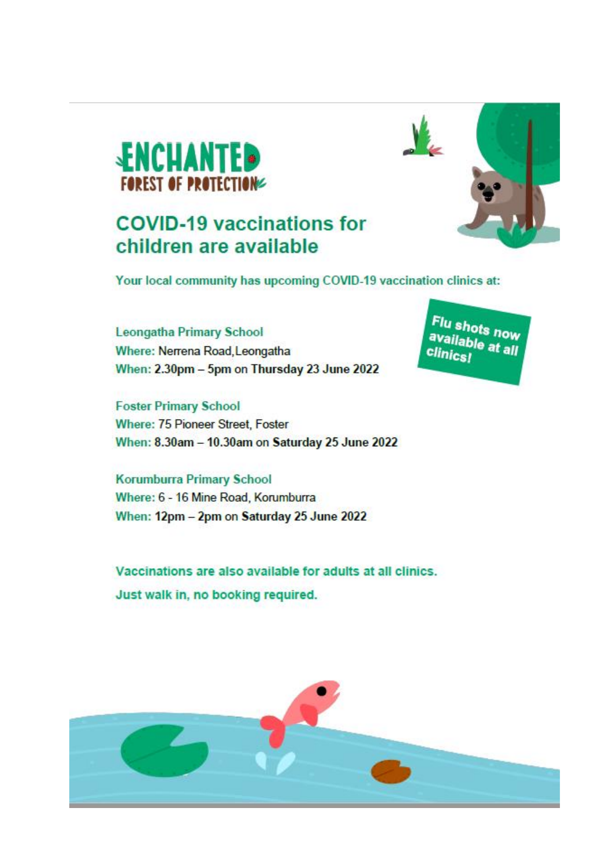

### **COVID-19 vaccinations for** children are available



Your local community has upcoming COVID-19 vaccination clinics at:

**Leongatha Primary School** Where: Nerrena Road, Leongatha When: 2.30pm - 5pm on Thursday 23 June 2022

**Foster Primary School** Where: 75 Pioneer Street, Foster When: 8.30am - 10.30am on Saturday 25 June 2022

**Korumburra Primary School** Where: 6 - 16 Mine Road, Korumburra When: 12pm - 2pm on Saturday 25 June 2022

Vaccinations are also available for adults at all clinics. Just walk in, no booking required.



Flu shots now available at all **clinics!**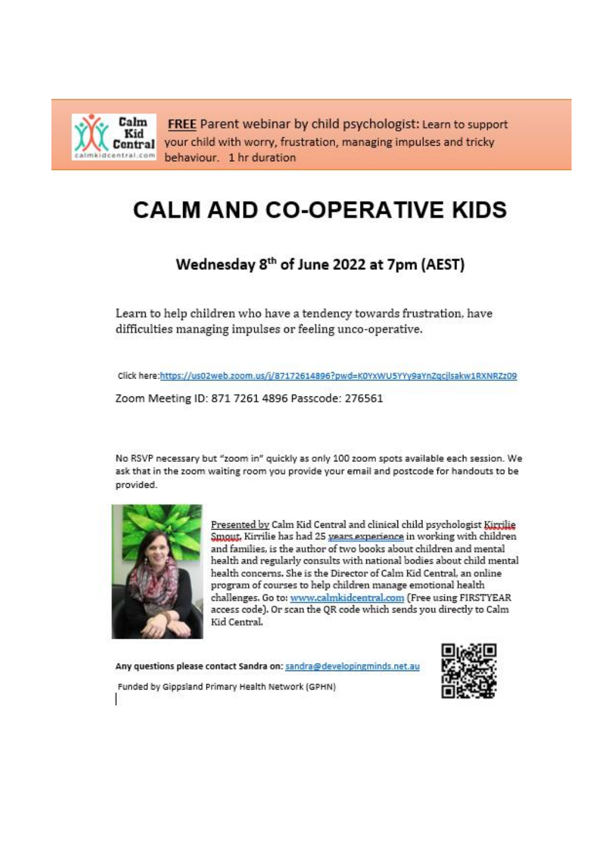Calm FREE Parent webinar by child psychologist: Learn to support Kid Central your child with worry, frustration, managing impulses and tricky dcentral.com behaviour. 1 hr duration

## **CALM AND CO-OPERATIVE KIDS**

### Wednesday 8th of June 2022 at 7pm (AEST)

Learn to help children who have a tendency towards frustration, have difficulties managing impulses or feeling unco-operative.

Click here:https://us02web.zoom.us/j/87172614896?pwd=K0YxWU5YYy9aYnZqcjlsakw1RXNRZz09

Zoom Meeting ID: 871 7261 4896 Passcode: 276561

No RSVP necessary but "zoom in" quickly as only 100 zoom spots available each session. We ask that in the zoom waiting room you provide your email and postcode for handouts to be provided.



Presented by Calm Kid Central and clinical child psychologist Kirrilie Smout, Kirrilie has had 25 years experience in working with children and families, is the author of two books about children and mental health and regularly consults with national bodies about child mental health concerns. She is the Director of Calm Kid Central, an online program of courses to help children manage emotional health challenges. Go to: www.calmkidcentral.com (Free using FIRSTYEAR access code). Or scan the QR code which sends you directly to Calm Kid Central.

Any questions please contact Sandra on: sandra@developingminds.net.au



Funded by Gippsland Primary Health Network (GPHN)